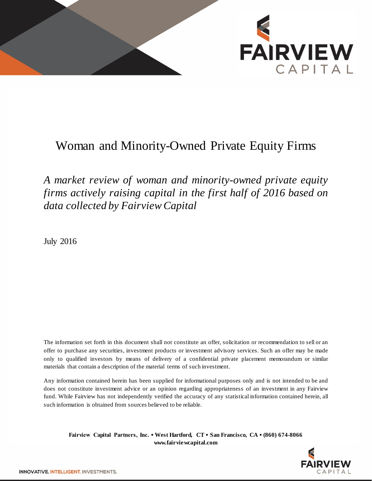

## Woman and Minority-Owned Private Equity Firms

*A market review of woman and minority-owned private equity firms actively raising capital in the first half of 2016 based on data collected by Fairview Capital*

July 2016

The information set forth in this document shall not constitute an offer, solicitation or recommendation to sell or an offer to purchase any securities, investment products or investment advisory services. Such an offer may be made only to qualified investors by means of delivery of a confidential private placement memorandum or similar materials that contain a description of the material terms of such investment.

Any information contained herein has been supplied for informational purposes only and is not intended to be and does not constitute investment advice or an opinion regarding appropriateness of an investment in any Fairview fund. While Fairview has not independently verified the accuracy of any statistical information contained herein, all such information is obtained from sources believed to be reliable.

**Fairview Capital Partners, Inc. ▪ West Hartford, CT ▪ San Francisco, CA ▪ (860) 674-8066 www.fairviewcapital.com**

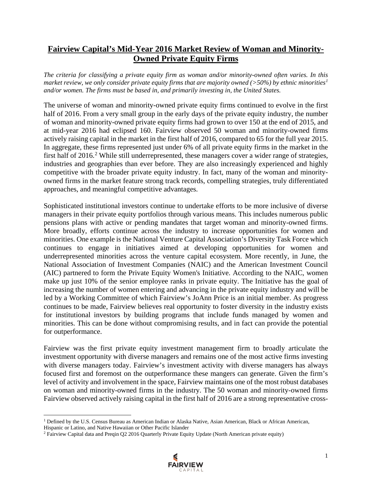## **Fairview Capital's Mid-Year 2016 Market Review of Woman and Minority-Owned Private Equity Firms**

*The criteria for classifying a private equity firm as woman and/or minority-owned often varies. In this market review, we only consider private equity firms that are majority owned (>50%) by ethnic minorities[1](#page-1-0) and/or women. The firms must be based in, and primarily investing in, the United States.*

The universe of woman and minority-owned private equity firms continued to evolve in the first half of 2016. From a very small group in the early days of the private equity industry, the number of woman and minority-owned private equity firms had grown to over 150 at the end of 2015, and at mid-year 2016 had eclipsed 160. Fairview observed 50 woman and minority-owned firms actively raising capital in the market in the first half of 2016, compared to 65 for the full year 2015. In aggregate, these firms represented just under 6% of all private equity firms in the market in the first half of [2](#page-1-1)016.<sup>2</sup> While still underrepresented, these managers cover a wider range of strategies, industries and geographies than ever before. They are also increasingly experienced and highly competitive with the broader private equity industry. In fact, many of the woman and minorityowned firms in the market feature strong track records, compelling strategies, truly differentiated approaches, and meaningful competitive advantages.

Sophisticated institutional investors continue to undertake efforts to be more inclusive of diverse managers in their private equity portfolios through various means. This includes numerous public pensions plans with active or pending mandates that target woman and minority-owned firms. More broadly, efforts continue across the industry to increase opportunities for women and minorities. One example is the National Venture Capital Association's Diversity Task Force which continues to engage in initiatives aimed at developing opportunities for women and underrepresented minorities across the venture capital ecosystem. More recently, in June, the National Association of Investment Companies (NAIC) and the American Investment Council (AIC) partnered to form the Private Equity Women's Initiative. According to the NAIC, women make up just 10% of the senior employee ranks in private equity. The Initiative has the goal of increasing the number of women entering and advancing in the private equity industry and will be led by a Working Committee of which Fairview's JoAnn Price is an initial member. As progress continues to be made, Fairview believes real opportunity to foster diversity in the industry exists for institutional investors by building programs that include funds managed by women and minorities. This can be done without compromising results, and in fact can provide the potential for outperformance.

Fairview was the first private equity investment management firm to broadly articulate the investment opportunity with diverse managers and remains one of the most active firms investing with diverse managers today. Fairview's investment activity with diverse managers has always focused first and foremost on the outperformance these mangers can generate. Given the firm's level of activity and involvement in the space, Fairview maintains one of the most robust databases on woman and minority-owned firms in the industry. The 50 woman and minority-owned firms Fairview observed actively raising capital in the first half of 2016 are a strong representative cross-

 $\overline{\phantom{a}}$ 



<span id="page-1-0"></span><sup>&</sup>lt;sup>1</sup> Defined by the U.S. Census Bureau as American Indian or Alaska Native, Asian American, Black or African American, Hispanic or Latino, and Native Hawaiian or Other Pacific Islander

<span id="page-1-1"></span><sup>&</sup>lt;sup>2</sup> Fairview Capital data and Preqin Q2 2016 Quarterly Private Equity Update (North American private equity)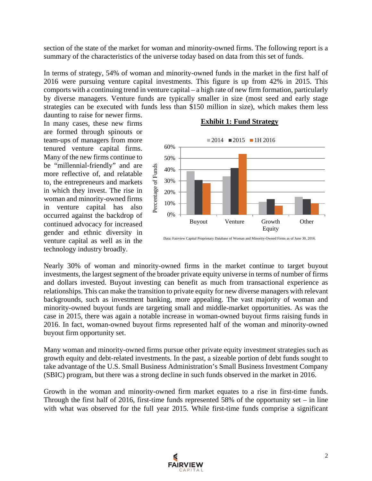section of the state of the market for woman and minority-owned firms. The following report is a summary of the characteristics of the universe today based on data from this set of funds.

In terms of strategy, 54% of woman and minority-owned funds in the market in the first half of 2016 were pursuing venture capital investments. This figure is up from 42% in 2015. This comports with a continuing trend in venture capital – a high rate of new firm formation, particularly by diverse managers. Venture funds are typically smaller in size (most seed and early stage strategies can be executed with funds less than \$150 million in size), which makes them less daunting to raise for newer firms.

In many cases, these new firms are formed through spinouts or team-ups of managers from more tenured venture capital firms. Many of the new firms continue to be "millennial-friendly" and are more reflective of, and relatable to, the entrepreneurs and markets in which they invest. The rise in woman and minority-owned firms in venture capital has also occurred against the backdrop of continued advocacy for increased gender and ethnic diversity in venture capital as well as in the technology industry broadly.

## **Exhibit 1: Fund Strategy**



Data: Fairview Capital Proprietary Database of Woman and Minority-Owned Firms as of June 30, 2016.

Nearly 30% of woman and minority-owned firms in the market continue to target buyout investments, the largest segment of the broader private equity universe in terms of number of firms and dollars invested. Buyout investing can benefit as much from transactional experience as relationships. This can make the transition to private equity for new diverse managers with relevant backgrounds, such as investment banking, more appealing. The vast majority of woman and minority-owned buyout funds are targeting small and middle-market opportunities. As was the case in 2015, there was again a notable increase in woman-owned buyout firms raising funds in 2016. In fact, woman-owned buyout firms represented half of the woman and minority-owned buyout firm opportunity set.

Many woman and minority-owned firms pursue other private equity investment strategies such as growth equity and debt-related investments. In the past, a sizeable portion of debt funds sought to take advantage of the U.S. Small Business Administration's Small Business Investment Company (SBIC) program, but there was a strong decline in such funds observed in the market in 2016.

Growth in the woman and minority-owned firm market equates to a rise in first-time funds. Through the first half of 2016, first-time funds represented 58% of the opportunity set – in line with what was observed for the full year 2015. While first-time funds comprise a significant

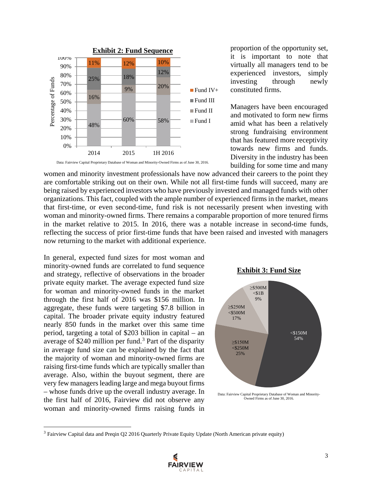

women and minority investment professionals have now advanced their careers to the point they are comfortable striking out on their own. While not all first-time funds will succeed, many are being raised by experienced investors who have previously invested and managed funds with other organizations. This fact, coupled with the ample number of experienced firms in the market, means that first-time, or even second-time, fund risk is not necessarily present when investing with woman and minority-owned firms. There remains a comparable proportion of more tenured firms in the market relative to 2015. In 2016, there was a notable increase in second-time funds, reflecting the success of prior first-time funds that have been raised and invested with managers now returning to the market with additional experience.

In general, expected fund sizes for most woman and minority-owned funds are correlated to fund sequence and strategy, reflective of observations in the broader private equity market. The average expected fund size for woman and minority-owned funds in the market through the first half of 2016 was \$156 million. In aggregate, these funds were targeting \$7.8 billion in capital. The broader private equity industry featured nearly 850 funds in the market over this same time period, targeting a total of \$203 billion in capital – an average of \$240 million per fund.<sup>[3](#page-3-0)</sup> Part of the disparity in average fund size can be explained by the fact that the majority of woman and minority-owned firms are raising first-time funds which are typically smaller than average. Also, within the buyout segment, there are very few managers leading large and mega buyout firms – whose funds drive up the overall industry average. In the first half of 2016, Fairview did not observe any woman and minority-owned firms raising funds in

 $\overline{\phantom{a}}$ 

proportion of the opportunity set, it is important to note that virtually all managers tend to be experienced investors, simply investing through newly constituted firms.

Managers have been encouraged and motivated to form new firms amid what has been a relatively strong fundraising environment that has featured more receptivity towards new firms and funds. Diversity in the industry has been building for some time and many





Data: Fairview Capital Proprietary Database of Woman and Minority-Owned Firms as of June 30, 2016.

<span id="page-3-0"></span><sup>&</sup>lt;sup>3</sup> Fairview Capital data and Preqin Q2 2016 Quarterly Private Equity Update (North American private equity)

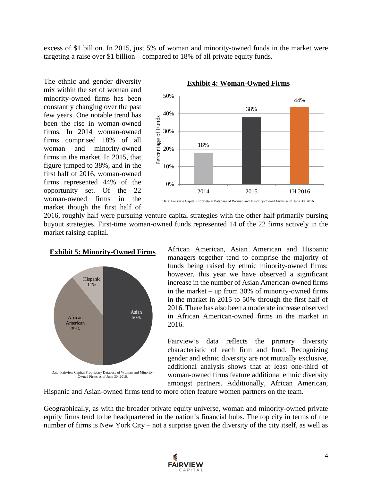excess of \$1 billion. In 2015, just 5% of woman and minority-owned funds in the market were targeting a raise over \$1 billion – compared to 18% of all private equity funds.

The ethnic and gender diversity mix within the set of woman and minority-owned firms has been constantly changing over the past few years. One notable trend has been the rise in woman-owned firms. In 2014 woman-owned firms comprised 18% of all woman and minority-owned firms in the market. In 2015, that figure jumped to 38%, and in the first half of 2016, woman-owned firms represented 44% of the opportunity set. Of the 22 woman-owned firms in the market though the first half of



**Exhibit 4: Woman-Owned Firms**

2016, roughly half were pursuing venture capital strategies with the other half primarily pursing buyout strategies. First-time woman-owned funds represented 14 of the 22 firms actively in the market raising capital.





African American, Asian American and Hispanic managers together tend to comprise the majority of funds being raised by ethnic minority-owned firms; however, this year we have observed a significant increase in the number of Asian American-owned firms in the market – up from 30% of minority-owned firms in the market in 2015 to 50% through the first half of 2016. There has also been a moderate increase observed in African American-owned firms in the market in 2016.

Fairview's data reflects the primary diversity characteristic of each firm and fund. Recognizing gender and ethnic diversity are not mutually exclusive, additional analysis shows that at least one-third of woman-owned firms feature additional ethnic diversity amongst partners. Additionally, African American,

Hispanic and Asian-owned firms tend to more often feature women partners on the team.

Geographically, as with the broader private equity universe, woman and minority-owned private equity firms tend to be headquartered in the nation's financial hubs. The top city in terms of the number of firms is New York City – not a surprise given the diversity of the city itself, as well as